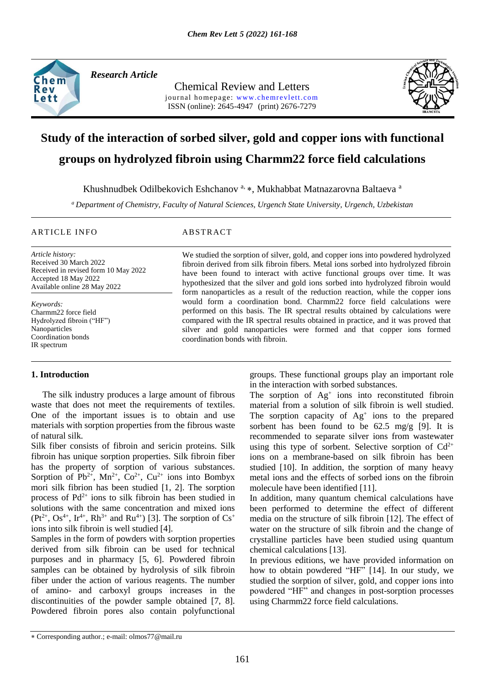

*Research Article* 

Chemical Review and Letters journal homepage: www.chemrevlett.com ISSN (online): 2645-4947(print) 2676-7279



# **Study of the interaction of sorbed silver, gold and copper ions with functional groups on hydrolyzed fibroin using Charmm22 force field calculations**

Khushnudbek Odilbekovich Eshchanov<sup>a,</sup> \*, Mukhabbat Matnazarovna Baltaeva<sup>a</sup>

*<sup>a</sup> Department of Chemistry, Faculty of Natural Sciences, Urgench State University, Urgench, Uzbekistan*

### ARTICLE INFO ABSTRACT

*Article history:* Received 30 March 2022 Received in revised form 10 May 2022 Accepted 18 May 2022 Available online 28 May 2022

*Keywords:* Charmm22 force field Hydrolyzed fibroin ("HF") Nanoparticles Coordination bonds IR spectrum

# **1. Introduction**

 The silk industry produces a large amount of fibrous waste that does not meet the requirements of textiles. One of the important issues is to obtain and use materials with sorption properties from the fibrous waste of natural silk.

Silk fiber consists of fibroin and sericin proteins. Silk fibroin has unique sorption properties. Silk fibroin fiber has the property of sorption of various substances. Sorption of Pb<sup>2+</sup>, Mn<sup>2+</sup>, Co<sup>2+</sup>, Cu<sup>2+</sup> ions into Bombyx mori silk fibrion has been studied [1, 2]. The sorption process of  $Pd^{2+}$  ions to silk fibroin has been studied in solutions with the same concentration and mixed ions  $(Pt^{2+}, Os^{4+}, Ir^{4+}, Rh^{3+}$  and Ru<sup>4+</sup>) [3]. The sorption of  $Cs^{+}$ ions into silk fibroin is well studied [4].

Samples in the form of powders with sorption properties derived from silk fibroin can be used for technical purposes and in pharmacy [5, 6]. Powdered fibroin samples can be obtained by hydrolysis of silk fibroin fiber under the action of various reagents. The number of amino- and carboxyl groups increases in the discontinuities of the powder sample obtained [7, 8]. Powdered fibroin pores also contain polyfunctional

We studied the sorption of silver, gold, and copper ions into powdered hydrolyzed fibroin derived from silk fibroin fibers. Metal ions sorbed into hydrolyzed fibroin have been found to interact with active functional groups over time. It was hypothesized that the silver and gold ions sorbed into hydrolyzed fibroin would form nanoparticles as a result of the reduction reaction, while the copper ions would form a coordination bond. Charmm22 force field calculations were performed on this basis. The IR spectral results obtained by calculations were compared with the IR spectral results obtained in practice, and it was proved that silver and gold nanoparticles were formed and that copper ions formed coordination bonds with fibroin.

> groups. These functional groups play an important role in the interaction with sorbed substances.

> The sorption of  $Ag<sup>+</sup>$  ions into reconstituted fibroin material from a solution of silk fibroin is well studied. The sorption capacity of  $Ag<sup>+</sup>$  ions to the prepared sorbent has been found to be 62.5 mg/g [9]. It is recommended to separate silver ions from wastewater using this type of sorbent. Selective sorption of  $Cd^{2+}$ ions on a membrane-based on silk fibroin has been studied [10]. In addition, the sorption of many heavy metal ions and the effects of sorbed ions on the fibroin molecule have been identified [11].

> In addition, many quantum chemical calculations have been performed to determine the effect of different media on the structure of silk fibroin [12]. The effect of water on the structure of silk fibroin and the change of crystalline particles have been studied using quantum chemical calculations [13].

> In previous editions, we have provided information on how to obtain powdered "HF" [14]. In our study, we studied the sorption of silver, gold, and copper ions into powdered "HF" and changes in post-sorption processes using Charmm22 force field calculations.

Corresponding author.; e-mail: olmos77@mail.ru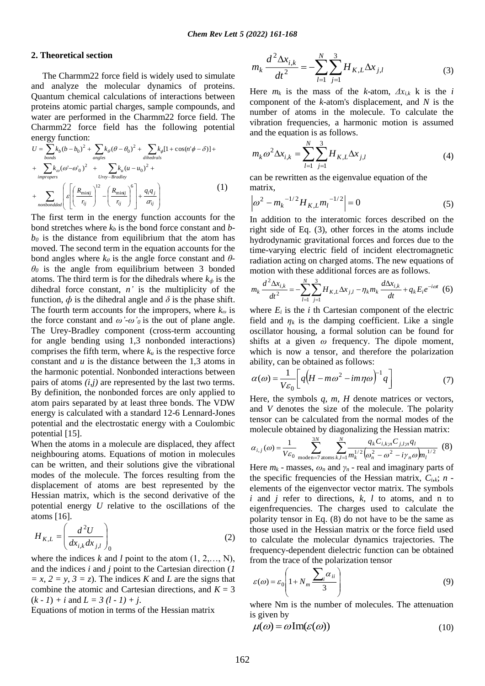## **2. Theoretical section**

 The Charmm22 force field is widely used to simulate and analyze the molecular dynamics of proteins. Quantum chemical calculations of interactions between proteins atomic partial charges, sample compounds, and water are performed in the Charmm22 force field. The Charmm22 force field has the following potential energy function:

$$
U = \sum_{bonds} k_b (b - b_0)^2 + \sum_{angles} k_\theta (\theta - \theta_0)^2 + \sum_{dihedrals} k_\phi [1 + \cos(n^\circ \phi - \delta)] +
$$
  
+ 
$$
\sum_{impropers} k_\omega (\omega - \omega_0)^2 + \sum_{Urey - Bradley} k_u (u - u_0)^2 +
$$
  
+ 
$$
\sum_{nonbondded} \left( \varepsilon \left[ \left( \frac{R_{\text{min}j}}{r_{ij}} \right)^{12} - \left( \frac{R_{\text{min}j}}{r_{ij}} \right)^6 \right] + \frac{q_i q_j}{\varepsilon r_{ij}} \right)
$$
(1)

The first term in the energy function accounts for the bond stretches where *k<sup>b</sup>* is the bond force constant and *b* $b<sub>0</sub>$  is the distance from equilibrium that the atom has moved. The second term in the equation accounts for the bond angles where  $k_{\theta}$  is the angle force constant and  $\theta$ - $\theta$ <sup>0</sup> is the angle from equilibrium between 3 bonded atoms. The third term is for the dihedrals where  $k_{\phi}$  is the dihedral force constant, *n'* is the multiplicity of the function,  $\phi$  is the dihedral angle and  $\delta$  is the phase shift. The fourth term accounts for the impropers, where *k<sup>ω</sup>* is the force constant and  $\omega' \text{-} \omega' \text{ or } \omega'$  is the out of plane angle. The Urey-Bradley component (cross-term accounting for angle bending using 1,3 nonbonded interactions) comprises the fifth term, where  $k_u$  is the respective force constant and *u* is the distance between the 1,3 atoms in the harmonic potential. Nonbonded interactions between pairs of atoms *(i,j)* are represented by the last two terms. By definition, the nonbonded forces are only applied to atom pairs separated by at least three bonds. The VDW energy is calculated with a standard 12-6 Lennard-Jones potential and the electrostatic energy with a Coulombic potential [15].

When the atoms in a molecule are displaced, they affect neighbouring atoms. Equations of motion in molecules can be written, and their solutions give the vibrational modes of the molecule. The forces resulting from the displacement of atoms are best represented by the Hessian matrix, which is the second derivative of the potential energy *U* relative to the oscillations of the atoms [16].

$$
H_{K,L} = \left(\frac{d^2U}{dx_{i,k}dx_{j,l}}\right)_0
$$
 (2)

where the indices  $k$  and  $l$  point to the atom  $(1, 2, \ldots, N)$ , and the indices *i* and *j* point to the Cartesian direction (*1*   $= x, 2 = y, 3 = z$ . The indices *K* and *L* are the signs that combine the atomic and Cartesian directions, and  $K = 3$  $(k - 1) + i$  and  $L = 3(l - 1) + i$ .

Equations of motion in terms of the Hessian matrix

$$
m_k \frac{d^2 \Delta x_{i,k}}{dt^2} = -\sum_{l=1}^N \sum_{j=1}^3 H_{K,L} \Delta x_{j,l}
$$
 (3)

Here  $m_k$  is the mass of the *k*-atom,  $\Delta x_{i,k}$  k is the *i* component of the *k*-atom's displacement, and *N* is the number of atoms in the molecule. To calculate the vibration frequencies, a harmonic motion is assumed and the equation is as follows.

$$
m_k \omega^2 \Delta x_{i,k} = \sum_{l=1}^N \sum_{j=1}^3 H_{K,L} \Delta x_{j,l} \tag{4}
$$

can be rewritten as the eigenvalue equation of the matrix,

$$
\left| \omega^2 - m_k^{-1/2} H_{K,L} m_l^{-1/2} \right| = 0 \tag{5}
$$

In addition to the interatomic forces described on the right side of Eq. (3), other forces in the atoms include hydrodynamic gravitational forces and forces due to the time-varying electric field of incident electromagnetic radiation acting on charged atoms. The new equations of motion with these additional forces are as follows.

$$
m_k \frac{d^2 \Delta x_{i,k}}{dt^2} = -\sum_{l=1}^N \sum_{j=1}^3 H_{K,L} \Delta x_{j,l} - \eta_k m_k \frac{d \Delta x_{i,k}}{dt} + q_k E_i e^{-i\omega t}
$$
 (6)

where  $E_i$  is the *i* th Cartesian component of the electric field and  $\eta_k$  is the damping coefficient. Like a single oscillator housing, a formal solution can be found for shifts at a given *ω* frequency. The dipole moment, which is now a tensor, and therefore the polarization ability, can be obtained as follows:

$$
\alpha(\omega) = \frac{1}{V\varepsilon_0} \left[ q \left( H - m\omega^2 - im\eta\omega \right)^{-1} q \right] \tag{7}
$$

Here, the symbols *q, m, H* denote matrices or vectors, and *V* denotes the size of the molecule. The polarity tensor can be calculated from the normal modes of the molecule obtained by diagonalizing the Hessian matrix:

$$
\alpha_{i,j}(\omega) = \frac{1}{V\varepsilon_0} \sum_{\text{moden}=7}^{3N} \sum_{\text{atoms } k,l=1}^{N} \frac{q_k C_{i,k;n} C_{j,l;n} q_l}{m_k^{1/2} (\omega_n^2 - \omega^2 - i\gamma_n \omega) m_l^{1/2}}
$$
(8)

Here  $m_k$  - masses,  $\omega_n$  and  $\gamma_n$  - real and imaginary parts of the specific frequencies of the Hessian matrix,  $C_{i,k}$ ; *n* elements of the eigenvector vector matrix. The symbols *i* and *j* refer to directions, *k, l* to atoms, and n to eigenfrequencies. The charges used to calculate the polarity tensor in Eq. (8) do not have to be the same as those used in the Hessian matrix or the force field used to calculate the molecular dynamics trajectories. The frequency-dependent dielectric function can be obtained from the trace of the polarization tensor

$$
\varepsilon(\omega) = \varepsilon_0 \left( 1 + N_m \frac{\sum_i \alpha_{ii}}{3} \right) \tag{9}
$$

where Nm is the number of molecules. The attenuation is given by

$$
\mu(\omega) = \omega \operatorname{Im}(\varepsilon(\omega)) \tag{10}
$$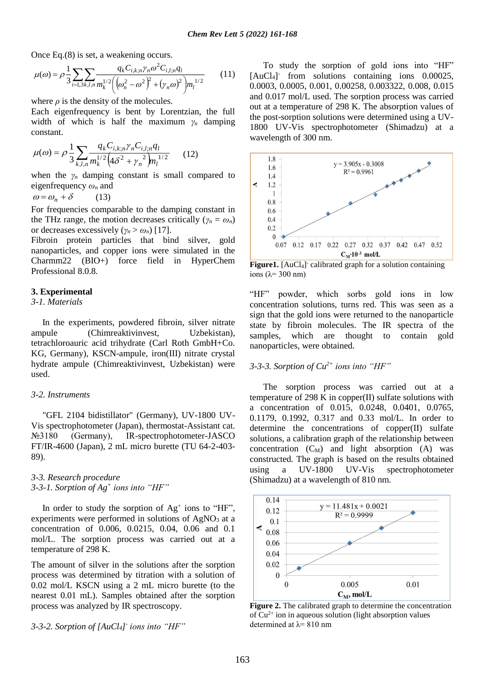Once Eq.(8) is set, a weakening occurs.

$$
\mu(\omega) = \rho \frac{1}{3} \sum_{i=1,3k,l,n} \frac{q_k C_{i,k;n} \gamma_n \omega^2 C_{i,l;n} q_l}{m_k^{1/2} \left( \left( \omega_n^2 - \omega^2 \right)^2 + \left( \gamma_n \omega \right)^2 \right) m_l^{1/2}}
$$
(11)

where  $\rho$  is the density of the molecules.

Each eigenfrequency is bent by Lorentzian, the full width of which is half the maximum *γ<sup>n</sup>* damping constant.

$$
\mu(\omega) = \rho \frac{1}{3} \sum_{k,l,n} \frac{q_k C_{i,k;n} \gamma_n C_{i,l;n} q_l}{m_k^{1/2} \left( 4\delta^2 + \gamma_n^2 \right) m_l^{1/2}} \qquad (12)
$$

when the  $\gamma_n$  damping constant is small compared to eigenfrequency *ω<sup>n</sup>* and

 $\omega = \omega_n + \delta$  (13)

For frequencies comparable to the damping constant in the THz range, the motion decreases critically ( $\gamma_n = \omega_n$ ) or decreases excessively  $(\gamma_n > \omega_n)$  [17].

Fibroin protein particles that bind silver, gold nanoparticles, and copper ions were simulated in the Charmm22 (BIO+) force field in HyperChem Professional 8.0.8.

# **3. Experimental**

*3-1. Materials*

 In the experiments, powdered fibroin, silver nitrate ampule (Chimreaktivinvest, Uzbekistan), tetrachloroauric acid trihydrate (Carl Roth GmbH+Co. KG, Germany), KSCN-ampule, iron(III) nitrate crystal hydrate ampule (Chimreaktivinvest, Uzbekistan) were used.

#### *3-2. Instruments*

 "GFL 2104 bidistillator" (Germany), UV-1800 UV-Vis spectrophotometer (Japan), thermostat-Assistant cat. №3180 (Germany), IR-spectrophotometer-JASCO FT/IR-4600 (Japan), 2 mL micro burette (TU 64-2-403- 89).

*3-3. Research procedure 3-3-1. Sorption of Ag<sup>+</sup> ions into "HF"*

In order to study the sorption of  $Ag^+$  ions to "HF", experiments were performed in solutions of  $AgNO<sub>3</sub>$  at a concentration of 0.006, 0.0215, 0.04, 0.06 and 0.1 mol/L. The sorption process was carried out at a temperature of 298 K.

The amount of silver in the solutions after the sorption process was determined by titration with a solution of 0.02 mol/L KSCN using a 2 mL micro burette (to the nearest 0.01 mL). Samples obtained after the sorption process was analyzed by IR spectroscopy.

*3-3-2. Sorption of [AuCl4] - ions into "HF"*

 To study the sorption of gold ions into "HF" [AuCl<sub>4</sub>]<sup>-</sup> from solutions containing ions 0.00025, 0.0003, 0.0005, 0.001, 0.00258, 0.003322, 0.008, 0.015 and 0.017 mol/L used. The sorption process was carried out at a temperature of 298 K. The absorption values of the post-sorption solutions were determined using a UV-1800 UV-Vis spectrophotometer (Shimadzu) at a wavelength of 300 nm.



Figure1. [AuCl<sub>4</sub>] calibrated graph for a solution containing ions ( $λ= 300$  nm)

"HF" powder, which sorbs gold ions in low concentration solutions, turns red. This was seen as a sign that the gold ions were returned to the nanoparticle state by fibroin molecules. The IR spectra of the samples, which are thought to contain gold nanoparticles, were obtained.

# *3-3-3. Sorption of Cu2+ ions into "HF"*

 The sorption process was carried out at a temperature of 298 K in copper $(II)$  sulfate solutions with a concentration of 0.015, 0.0248, 0.0401, 0.0765, 0.1179, 0.1992, 0.317 and 0.33 mol/L. In order to determine the concentrations of copper(II) sulfate solutions, a calibration graph of the relationship between concentration  $(C_M)$  and light absorption  $(A)$  was constructed. The graph is based on the results obtained using a UV-1800 UV-Vis spectrophotometer (Shimadzu) at a wavelength of 810 nm.



**Figure 2.** The calibrated graph to determine the concentration of  $Cu^{2+}$  ion in aqueous solution (light absorption values determined at  $\lambda$ = 810 nm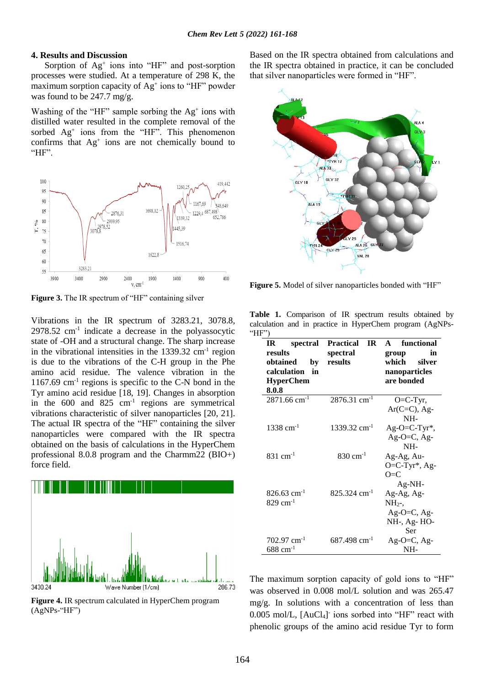#### **4. Results and Discussion**

Sorption of Ag<sup>+</sup> ions into "HF" and post-sorption processes were studied. At a temperature of 298 K, the maximum sorption capacity of Ag<sup>+</sup> ions to "HF" powder was found to be 247.7 mg/g.

Washing of the "HF" sample sorbing the  $Ag<sup>+</sup>$  ions with distilled water resulted in the complete removal of the sorbed Ag<sup>+</sup> ions from the "HF". This phenomenon confirms that Ag<sup>+</sup> ions are not chemically bound to "HF".



**Figure 3.** The IR spectrum of "HF" containing silver

Vibrations in the IR spectrum of 3283.21, 3078.8,  $2978.52$  cm<sup>-1</sup> indicate a decrease in the polyassocytic state of -OH and a structural change. The sharp increase in the vibrational intensities in the  $1339.32 \text{ cm}^{-1}$  region is due to the vibrations of the C-H group in the Phe amino acid residue. The valence vibration in the 1167.69 cm<sup>-1</sup> regions is specific to the C-N bond in the Tyr amino acid residue [18, 19]. Changes in absorption in the 600 and 825 cm<sup>-1</sup> regions are symmetrical vibrations characteristic of silver nanoparticles [20, 21]. The actual IR spectra of the "HF" containing the silver nanoparticles were compared with the IR spectra obtained on the basis of calculations in the HyperChem professional 8.0.8 program and the Charmm22 (BIO+) force field.



**Figure 4.** IR spectrum calculated in HyperChem program (AgNPs-"HF")

Based on the IR spectra obtained from calculations and the IR spectra obtained in practice, it can be concluded that silver nanoparticles were formed in "HF".



**Figure 5.** Model of silver nanoparticles bonded with "HF"

Table 1. Comparison of IR spectrum results obtained by calculation and in practice in HyperChem program (AgNPs- " $HF"$ )

| IR<br>spectral             | <b>Practical</b><br>TR.    | functional<br>$\blacktriangle$                                 |
|----------------------------|----------------------------|----------------------------------------------------------------|
| results                    | spectral                   | in<br>group                                                    |
| obtained<br>by             | results                    | which<br>silver                                                |
| calculation<br>in          |                            | nanoparticles                                                  |
| <b>HyperChem</b>           |                            | are bonded                                                     |
| 8.0.8                      |                            |                                                                |
| $2871.66$ cm <sup>-1</sup> | $2876.31$ cm <sup>-1</sup> | $O=C-Tyr$ ,                                                    |
|                            |                            |                                                                |
|                            |                            | NH-                                                            |
| $1338 \text{ cm}^{-1}$     | $1339.32$ cm <sup>-1</sup> | $Ag-O=C-Tyr^*$ ,                                               |
|                            |                            | $Ag-O=C, Ag-$                                                  |
|                            |                            | NH-                                                            |
| 831 cm <sup>-1</sup>       | 830 cm <sup>-1</sup>       | Ag-Ag, Au-                                                     |
|                            |                            | $O=C-Tyr^*$ , Ag-                                              |
|                            |                            | O≡C                                                            |
|                            |                            | $Ag-NH-$                                                       |
| $826.63$ cm <sup>-1</sup>  | $825.324$ cm <sup>-1</sup> | Ag-Ag, Ag-                                                     |
| $829$ cm <sup>-1</sup>     |                            | $NH2$ ,                                                        |
|                            |                            |                                                                |
|                            |                            |                                                                |
|                            |                            | Ser                                                            |
| $702.97$ cm <sup>-1</sup>  | $687.498$ cm <sup>-1</sup> |                                                                |
| $688$ cm <sup>-1</sup>     |                            | NH-                                                            |
|                            |                            | $Ar(C=C)$ , Ag-<br>Ag-O=C, Ag-<br>NH-, Ag-HO-<br>$Ag-O=C, Ag-$ |

The maximum sorption capacity of gold ions to "HF" was observed in 0.008 mol/L solution and was 265.47 mg/g. In solutions with a concentration of less than 0.005 mol/L, [AuCl4] - ions sorbed into "HF" react with phenolic groups of the amino acid residue Tyr to form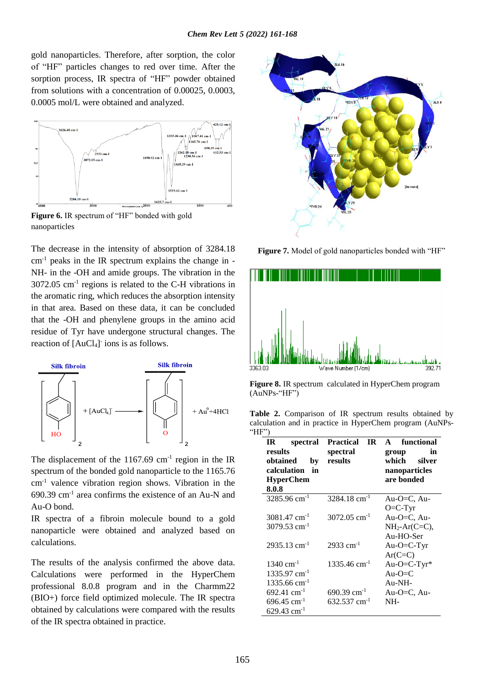gold nanoparticles. Therefore, after sorption, the color of "HF" particles changes to red over time. After the sorption process, IR spectra of "HF" powder obtained from solutions with a concentration of 0.00025, 0.0003, 0.0005 mol/L were obtained and analyzed.



**Figure 6.** IR spectrum of "HF" bonded with gold nanoparticles

The decrease in the intensity of absorption of 3284.18  $cm<sup>-1</sup>$  peaks in the IR spectrum explains the change in -NH- in the -OH and amide groups. The vibration in the 3072.05 cm-1 regions is related to the C-H vibrations in the aromatic ring, which reduces the absorption intensity in that area. Based on these data, it can be concluded that the -OH and phenylene groups in the amino acid residue of Tyr have undergone structural changes. The reaction of [AuCl<sub>4</sub>] ions is as follows.



The displacement of the  $1167.69$  cm<sup>-1</sup> region in the IR spectrum of the bonded gold nanoparticle to the 1165.76 cm-1 valence vibration region shows. Vibration in the 690.39 cm-1 area confirms the existence of an Au-N and Au-O bond.

IR spectra of a fibroin molecule bound to a gold nanoparticle were obtained and analyzed based on calculations.

The results of the analysis confirmed the above data. Calculations were performed in the HyperChem professional 8.0.8 program and in the Charmm22 (BIO+) force field optimized molecule. The IR spectra obtained by calculations were compared with the results of the IR spectra obtained in practice.



Figure 7. Model of gold nanoparticles bonded with "HF"



**Figure 8.** IR spectrum calculated in HyperChem program (AuNPs-"HF")

Table 2. Comparison of IR spectrum results obtained by calculation and in practice in HyperChem program (AuNPs- " $HF"$ )

| IR<br>spectral             | <b>Practical</b><br>TR.    | functional<br>$\blacktriangle$ |
|----------------------------|----------------------------|--------------------------------|
| results                    | spectral                   | in<br>group                    |
| obtained<br>by             | results                    | which<br>silver                |
| calculation<br>in          |                            | nanoparticles                  |
| <b>HyperChem</b>           |                            | are bonded                     |
| 8.0.8                      |                            |                                |
| $3285.96$ cm <sup>-1</sup> | $3284.18$ cm <sup>-1</sup> | Au-O=C, Au-                    |
|                            |                            | $O=C-Tyr$                      |
| $3081.47$ cm <sup>-1</sup> | $3072.05$ cm <sup>-1</sup> | Au-O $=C$ , Au-                |
| $3079.53$ cm <sup>-1</sup> |                            | $NH2-Ar(C=C)$ ,                |
|                            |                            | $Au-HO-Ser$                    |
| $2935.13$ cm <sup>-1</sup> | $2933 \text{ cm}^{-1}$     | Au-O=C-Tyr                     |
|                            |                            | $Ar(C=C)$                      |
| $1340 \text{ cm}^{-1}$     | $1335.46$ cm <sup>-1</sup> | Au-O=C-Tyr*                    |
| $1335.97$ cm <sup>-1</sup> |                            | Au-O=C                         |
| $1335.66$ cm <sup>-1</sup> |                            | $Au-NH-$                       |
| $692.41$ cm <sup>-1</sup>  | $690.39$ cm <sup>-1</sup>  | Au-O=C, $Au$ -                 |
| $696.45$ cm <sup>-1</sup>  | 632.537 cm <sup>-1</sup>   | NH-                            |
| $629.43$ cm <sup>-1</sup>  |                            |                                |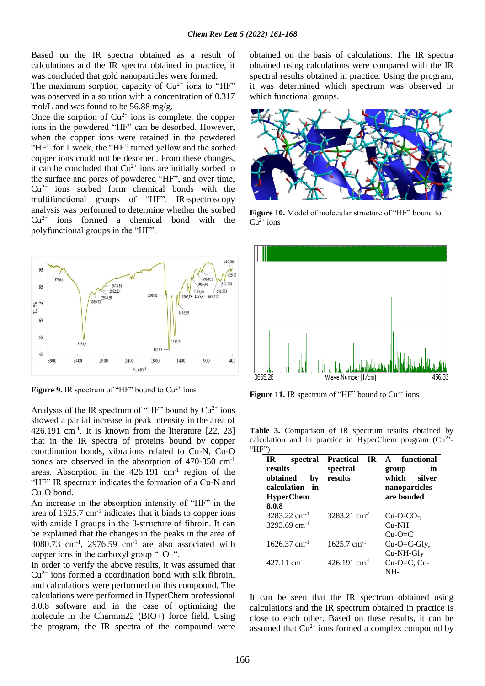Based on the IR spectra obtained as a result of calculations and the IR spectra obtained in practice, it was concluded that gold nanoparticles were formed.

The maximum sorption capacity of  $Cu^{2+}$  ions to "HF" was observed in a solution with a concentration of 0.317 mol/L and was found to be 56.88 mg/g.

Once the sorption of  $Cu^{2+}$  ions is complete, the copper ions in the powdered "HF" can be desorbed. However, when the copper ions were retained in the powdered "HF" for 1 week, the "HF" turned yellow and the sorbed copper ions could not be desorbed. From these changes, it can be concluded that  $Cu^{2+}$  ions are initially sorbed to the surface and pores of powdered "HF", and over time,  $Cu<sup>2+</sup>$  ions sorbed form chemical bonds with the multifunctional groups of "HF". IR-spectroscopy analysis was performed to determine whether the sorbed  $Cu<sup>2+</sup>$  ions formed a chemical bond with the polyfunctional groups in the "HF".



**Figure 9.** IR spectrum of "HF" bound to  $Cu^{2+}$  ions

Analysis of the IR spectrum of "HF" bound by  $Cu^{2+}$  ions showed a partial increase in peak intensity in the area of  $426.191$  cm<sup>-1</sup>. It is known from the literature [22, 23] that in the IR spectra of proteins bound by copper coordination bonds, vibrations related to Cu-N, Cu-O bonds are observed in the absorption of 470-350 cm-1 areas. Absorption in the  $426.191 \text{ cm}^{-1}$  region of the "HF" IR spectrum indicates the formation of a Cu-N and Cu-O bond.

An increase in the absorption intensity of "HF" in the area of  $1625.7 \text{ cm}^{-1}$  indicates that it binds to copper ions with amide I groups in the β-structure of fibroin. It can be explained that the changes in the peaks in the area of  $3080.73$  cm<sup>-1</sup>,  $2976.59$  cm<sup>-1</sup> are also associated with copper ions in the carboxyl group "–O–".

In order to verify the above results, it was assumed that  $Cu<sup>2+</sup>$  ions formed a coordination bond with silk fibroin, and calculations were performed on this compound. The calculations were performed in HyperChem professional 8.0.8 software and in the case of optimizing the molecule in the Charmm22 (BIO+) force field. Using the program, the IR spectra of the compound were

obtained on the basis of calculations. The IR spectra obtained using calculations were compared with the IR spectral results obtained in practice. Using the program, it was determined which spectrum was observed in which functional groups.



**Figure 10.** Model of molecular structure of "HF" bound to  $Cu^{2+}$  ions



**Figure 11.** IR spectrum of "HF" bound to  $Cu^{2+}$  ions

Table 3. Comparison of IR spectrum results obtained by calculation and in practice in HyperChem program  $(Cu^{2+})$ " $HF"$ )

| <b>IR</b><br>spectral<br>results<br>obtained<br>by<br>calculation<br>in<br><b>HyperChem</b><br>8.0.8 | <b>Practical</b><br>IR<br>spectral<br>results | A functional<br>in<br>group<br>which<br>silver<br>nanoparticles<br>are bonded |
|------------------------------------------------------------------------------------------------------|-----------------------------------------------|-------------------------------------------------------------------------------|
| $3283.22$ cm <sup>-1</sup><br>$3293.69$ cm <sup>-1</sup>                                             | $3283.21$ cm <sup>-1</sup>                    | $Cu-O-CO2$<br>$Cu-NH$<br>$Cu-O=C$                                             |
| $1626.37$ cm <sup>-1</sup>                                                                           | $1625.7$ cm <sup>-1</sup>                     | $Cu-O=C-Gly,$<br>Cu-NH-Gly                                                    |
| $427.11 \text{ cm}^{-1}$                                                                             | $426.191$ cm <sup>-1</sup>                    | $Cu-O=C$ , $Cu$ -<br>NH-                                                      |

It can be seen that the IR spectrum obtained using calculations and the IR spectrum obtained in practice is close to each other. Based on these results, it can be assumed that  $Cu^{2+}$  ions formed a complex compound by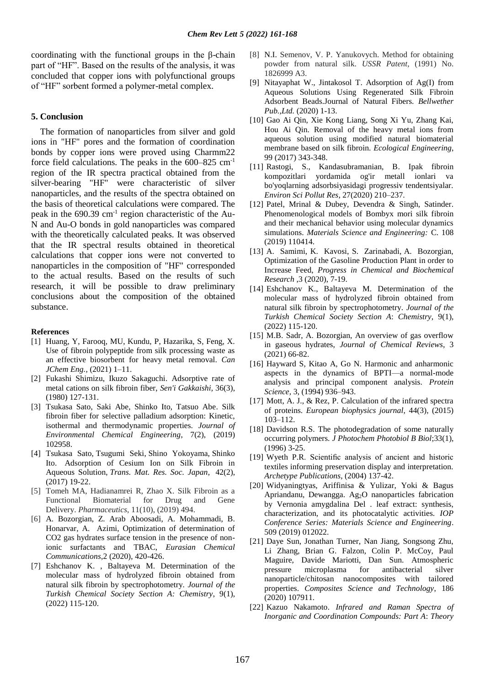coordinating with the functional groups in the β-chain part of "HF". Based on the results of the analysis, it was concluded that copper ions with polyfunctional groups of "HF" sorbent formed a polymer-metal complex.

### **5. Conclusion**

 The formation of nanoparticles from silver and gold ions in "HF" pores and the formation of coordination bonds by copper ions were proved using Charmm22 force field calculations. The peaks in the 600–825 cm-1 region of the IR spectra practical obtained from the silver-bearing "HF" were characteristic of silver nanoparticles, and the results of the spectra obtained on the basis of theoretical calculations were compared. The peak in the 690.39 cm<sup>-1</sup> region characteristic of the Au-N and Au-O bonds in gold nanoparticles was compared with the theoretically calculated peaks. It was observed that the IR spectral results obtained in theoretical calculations that copper ions were not converted to nanoparticles in the composition of "HF" corresponded to the actual results. Based on the results of such research, it will be possible to draw preliminary conclusions about the composition of the obtained substance.

#### **References**

- [1] Huang, Y, Farooq, MU, Kundu, P, Hazarika, S, Feng, X. Use of fibroin polypeptide from silk processing waste as an effective biosorbent for heavy metal removal. *Can JChem Eng.,* (2021) 1–11.
- [2] Fukashi Shimizu, Ikuzo Sakaguchi. Adsorptive rate of metal cations on silk fibroin fiber, *Sen'i Gakkaishi,* 36(3), (1980) 127-131.
- [3] Tsukasa Sato, Saki Abe, Shinko Ito, Tatsuo Abe. Silk fibroin fiber for selective palladium adsorption: Kinetic, isothermal and thermodynamic properties. *Journal of Environmental Chemical Engineering*, 7(2), (2019) 102958.
- [4] Tsukasa Sato, Tsugumi Seki, Shino Yokoyama, Shinko Ito. Adsorption of Cesium Ion on Silk Fibroin in Aqueous Solution, *Trans. Mat. Res. Soc. Japan*, 42(2), (2017) 19-22.
- [5] Tomeh MA, Hadianamrei R, Zhao X. Silk Fibroin as a Functional Biomaterial for Drug and Gene Delivery. *Pharmaceutics*, 11(10), (2019) 494.
- [6] A. Bozorgian, Z. Arab Aboosadi, A. Mohammadi, B. Honarvar, A. Azimi, Optimization of determination of CO2 gas hydrates surface tension in the presence of nonionic surfactants and TBAC, *Eurasian Chemical Communications*,2 (2020), 420-426.
- [7] Eshchanov K. , Baltayeva M. Determination of the molecular mass of hydrolyzed fibroin obtained from natural silk fibroin by spectrophotometry. *Journal of the Turkish Chemical Society Section A: Chemistry*, 9(1), (2022) 115-120.
- [8] N.I. Semenov, V. P. Yanukovych. Method for obtaining powder from natural silk. *USSR Patent*, (1991) No. 1826999 A3.
- [9] Nitayaphat W., Jintakosol T. Adsorption of Ag(I) from Aqueous Solutions Using Regenerated Silk Fibroin Adsorbent Beads.Journal of Natural Fibers. *Bellwether Pub.,Ltd.* (2020) 1-13.
- [10] Gao Ai Qin, Xie Kong Liang, Song Xi Yu, Zhang Kai, Hou Ai Qin. Removal of the heavy metal ions from aqueous solution using modified natural biomaterial membrane based on silk fibroin. *Ecological Engineering*, 99 (2017) 343-348.
- [11] Rastogi, S., Kandasubramanian, B. Ipak fibroin kompozitlari yordamida og'ir metall ionlari va bo'yoqlarning adsorbsiyasidagi progressiv tendentsiyalar. *Environ Sci Pollut Res*, 27(2020) 210–237.
- [12] Patel, Mrinal & Dubey, Devendra & Singh, Satinder. Phenomenological models of Bombyx mori silk fibroin and their mechanical behavior using molecular dynamics simulations. *Materials Science and Engineering:* C. 108 (2019) 110414.
- [13] A. Samimi, K. Kavosi, S. Zarinabadi, A. Bozorgian, Optimization of the Gasoline Production Plant in order to Increase Feed, *Progress in Chemical and Biochemical Research* ,3 (2020), 7-19.
- [14] Eshchanov K., Baltayeva M. Determination of the molecular mass of hydrolyzed fibroin obtained from natural silk fibroin by spectrophotometry. *Journal of the Turkish Chemical Society Section A*: *Chemistry*, 9(1), (2022) 115-120.
- [15] M.B. Sadr, A. Bozorgian, An overview of gas overflow in gaseous hydrates, *Journal of Chemical Reviews*, 3 (2021) 66-82.
- [16] Hayward S, Kitao A, Go N. Harmonic and anharmonic aspects in the dynamics of BPTI—a normal-mode analysis and principal component analysis. *Protein Science,* 3, (1994) 936–943.
- [17] Mott, A. J., & Rez, P. Calculation of the infrared spectra of proteins. *European biophysics journal*, 44(3), (2015) 103–112.
- [18] Davidson R.S. The photodegradation of some naturally occurring polymers. *J Photochem Photobiol B Biol*;33(1), (1996) 3-25.
- [19] Wyeth P.R. Scientific analysis of ancient and historic textiles informing preservation display and interpretation. *Archetype Publications*, (2004) 137-42.
- [20] Widyaningtyas, Ariffinisa & Yulizar, Yoki & Bagus Apriandanu, Dewangga. Ag2O nanoparticles fabrication by Vernonia amygdalina Del . leaf extract: synthesis, characterization, and its photocatalytic activities. *IOP Conference Series: Materials Science and Engineering*. 509 (2019) 012022.
- [21] Daye Sun, Jonathan Turner, Nan Jiang, Songsong Zhu, Li Zhang, Brian G. Falzon, Colin P. McCoy, Paul Maguire, Davide Mariotti, Dan Sun. Atmospheric pressure microplasma for antibacterial silver nanoparticle/chitosan nanocomposites with tailored properties. *Composites Science and Technology*, 186 (2020) 107911.
- [22] Kazuo Nakamoto. *Infrared and Raman Spectra of Inorganic and Coordination Compounds: Part A*: *Theory*